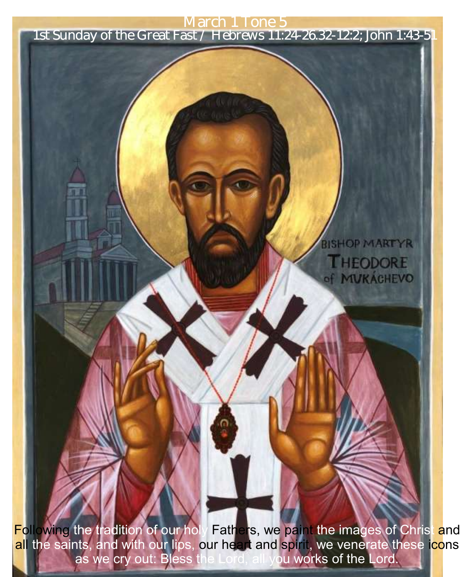March 1 Tone 5

1st Sunday of the Great Fast / Hebrews 11:24-26.32-12:2; John 1:43-51

**SHOP MARTYR** 

**THEODORE** of MUKACHEVO

Following the tradition of our holy Fathers, we paint the images of Christ and <mark>al</mark>l the saints, and with our lips, our heart and spirit, we venerate these i<mark>co</mark>ns as we cry out: Bless the Lord, all you works of the Lord.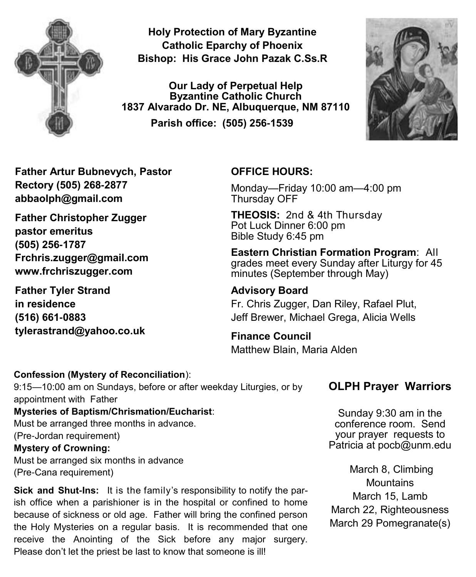

**Holy Protection of Mary Byzantine Catholic Eparchy of Phoenix Bishop: His Grace John Pazak C.Ss.R**

**Our Lady of Perpetual Help Byzantine Catholic Church 1837 Alvarado Dr. NE, Albuquerque, NM 87110 Parish office: (505) 256-1539**



**Father Artur Bubnevych, Pastor Rectory (505) 268-2877 abbaolph@gmail.com** 

**Father Christopher Zugger pastor emeritus (505) 256-1787 Frchris.zugger@gmail.com www.frchriszugger.com** 

**Father Tyler Strand in residence (516) 661-0883 tylerastrand@yahoo.co.uk**

#### **OFFICE HOURS:**

Monday—Friday 10:00 am—4:00 pm Thursday OFF

**THEOSIS:** 2nd & 4th Thursday Pot Luck Dinner 6:00 pm Bible Study 6:45 pm

**Eastern Christian Formation Program**: All grades meet every Sunday after Liturgy for 45 minutes (September through May)

**Advisory Board**  Fr. Chris Zugger, Dan Riley, Rafael Plut, Jeff Brewer, Michael Grega, Alicia Wells

**Finance Council**  Matthew Blain, Maria Alden

#### **Confession (Mystery of Reconciliation**):

9:15—10:00 am on Sundays, before or after weekday Liturgies, or by appointment with Father **Mysteries of Baptism/Chrismation/Eucharist**: Must be arranged three months in advance. (Pre-Jordan requirement) **Mystery of Crowning:**  Must be arranged six months in advance

(Pre-Cana requirement)

**Sick and Shut-Ins:** It is the family's responsibility to notify the parish office when a parishioner is in the hospital or confined to home because of sickness or old age. Father will bring the confined person the Holy Mysteries on a regular basis. It is recommended that one receive the Anointing of the Sick before any major surgery. Please don't let the priest be last to know that someone is ill!

#### **OLPH Prayer Warriors**

Sunday 9:30 am in the conference room. Send your prayer requests to Patricia at pocb@unm.edu

March 8, Climbing **Mountains** March 15, Lamb March 22, Righteousness March 29 Pomegranate(s)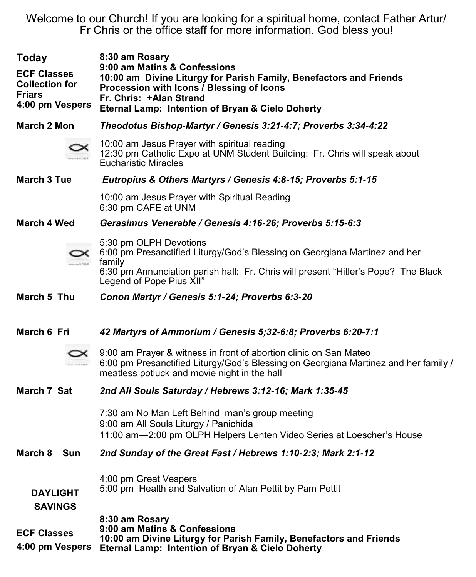Welcome to our Church! If you are looking for a spiritual home, contact Father Artur/ Fr Chris or the office staff for more information. God bless you!

| <b>Today</b><br><b>ECF Classes</b><br><b>Collection for</b><br><b>Friars</b> | 8:30 am Rosary<br>9:00 am Matins & Confessions<br>10:00 am Divine Liturgy for Parish Family, Benefactors and Friends<br>Procession with Icons / Blessing of Icons                                        |
|------------------------------------------------------------------------------|----------------------------------------------------------------------------------------------------------------------------------------------------------------------------------------------------------|
| 4:00 pm Vespers                                                              | Fr. Chris: +Alan Strand<br>Eternal Lamp: Intention of Bryan & Cielo Doherty                                                                                                                              |
| March 2 Mon                                                                  | Theodotus Bishop-Martyr / Genesis 3:21-4:7; Proverbs 3:34-4:22                                                                                                                                           |
|                                                                              | 10:00 am Jesus Prayer with spiritual reading<br>12:30 pm Catholic Expo at UNM Student Building: Fr. Chris will speak about<br>Eucharistic Miracles                                                       |
| <b>March 3 Tue</b>                                                           | Eutropius & Others Martyrs / Genesis 4:8-15; Proverbs 5:1-15                                                                                                                                             |
|                                                                              | 10:00 am Jesus Prayer with Spiritual Reading<br>6:30 pm CAFE at UNM                                                                                                                                      |
| March 4 Wed                                                                  | Gerasimus Venerable / Genesis 4:16-26; Proverbs 5:15-6:3                                                                                                                                                 |
|                                                                              | 5:30 pm OLPH Devotions<br>6:00 pm Presanctified Liturgy/God's Blessing on Georgiana Martinez and her<br>family                                                                                           |
|                                                                              | 6:30 pm Annunciation parish hall: Fr. Chris will present "Hitler's Pope? The Black<br>Legend of Pope Pius XII"                                                                                           |
| March 5 Thu                                                                  | Conon Martyr / Genesis 5:1-24; Proverbs 6:3-20                                                                                                                                                           |
|                                                                              |                                                                                                                                                                                                          |
| March 6 Fri                                                                  | 42 Martyrs of Ammorium / Genesis 5;32-6:8; Proverbs 6:20-7:1                                                                                                                                             |
|                                                                              | 9:00 am Prayer & witness in front of abortion clinic on San Mateo<br>6:00 pm Presanctified Liturgy/God's Blessing on Georgiana Martinez and her family /<br>meatless potluck and movie night in the hall |
| March 7 Sat                                                                  | 2nd All Souls Saturday / Hebrews 3:12-16; Mark 1:35-45                                                                                                                                                   |
|                                                                              | 7:30 am No Man Left Behind man's group meeting<br>9:00 am All Souls Liturgy / Panichida                                                                                                                  |
|                                                                              | 11:00 am-2:00 pm OLPH Helpers Lenten Video Series at Loescher's House                                                                                                                                    |
| March 8 Sun                                                                  | 2nd Sunday of the Great Fast / Hebrews 1:10-2:3; Mark 2:1-12                                                                                                                                             |
| <b>DAYLIGHT</b><br><b>SAVINGS</b>                                            | 4:00 pm Great Vespers<br>5:00 pm Health and Salvation of Alan Pettit by Pam Pettit                                                                                                                       |
| <b>ECF Classes</b><br>4:00 pm Vespers                                        | 8:30 am Rosary<br>9:00 am Matins & Confessions<br>10:00 am Divine Liturgy for Parish Family, Benefactors and Friends<br>Eternal Lamp: Intention of Bryan & Cielo Doherty                                 |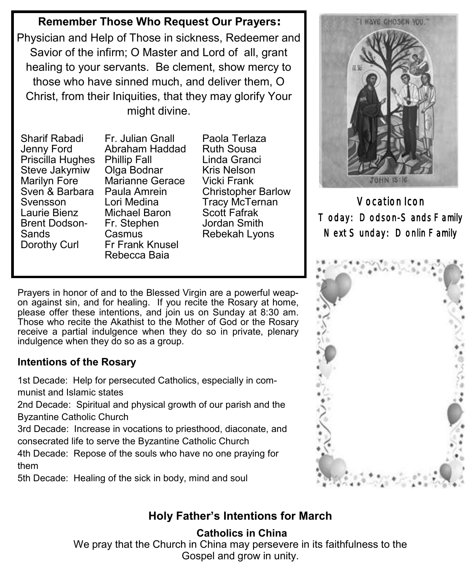## **Remember Those Who Request Our Prayers:**

Physician and Help of Those in sickness, Redeemer and Savior of the infirm; O Master and Lord of all, grant healing to your servants. Be clement, show mercy to those who have sinned much, and deliver them, O Christ, from their Iniquities, that they may glorify Your might divine.

Sharif Rabadi Jenny Ford Priscilla Hughes Phillip Fall Steve Jakymiw Marilyn Fore Sven & Barbara Paula Amrein Svensson Laurie Bienz Brent Dodson-Sands Dorothy Curl

Fr. Julian Gnall Abraham Haddad Olga Bodnar Marianne Gerace Lori Medina Michael Baron Fr. Stephen Casmus Fr Frank Knusel Rebecca Baia

Paola Terlaza Ruth Sousa Linda Granci Kris Nelson Vicki Frank Christopher Barlow Tracy McTernan Scott Fafrak Jordan Smith Rebekah Lyons

Prayers in honor of and to the Blessed Virgin are a powerful weapon against sin, and for healing. If you recite the Rosary at home, please offer these intentions, and join us on Sunday at 8:30 am. Those who recite the Akathist to the Mother of God or the Rosary receive a partial indulgence when they do so in private, plenary indulgence when they do so as a group.

## **Intentions of the Rosary**

1st Decade: Help for persecuted Catholics, especially in communist and Islamic states

2nd Decade: Spiritual and physical growth of our parish and the Byzantine Catholic Church

3rd Decade: Increase in vocations to priesthood, diaconate, and consecrated life to serve the Byzantine Catholic Church

4th Decade: Repose of the souls who have no one praying for them

5th Decade: Healing of the sick in body, mind and soul



Vocation Icon Today: Dodson-Sands Family Next Sunday: Donlin Family



# **Holy Father's Intentions for March**

### **Catholics in China**

We pray that the Church in China may persevere in its faithfulness to the Gospel and grow in unity.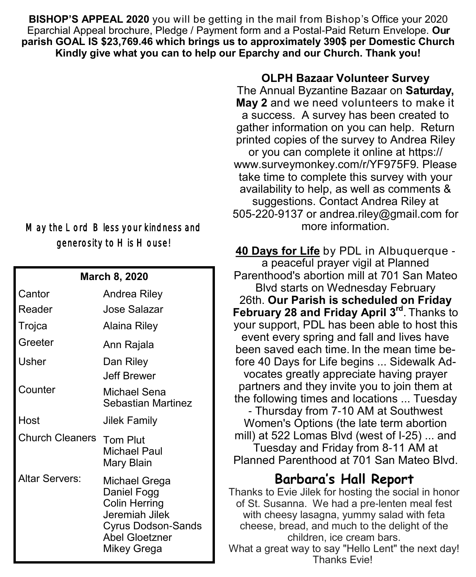**BISHOP'S APPEAL 2020** you will be getting in the mail from Bishop's Office your 2020 Eparchial Appeal brochure, Pledge / Payment form and a Postal-Paid Return Envelope. **Our parish GOAL IS \$23,769.46 which brings us to approximately 390\$ per Domestic Church Kindly give what you can to help our Eparchy and our Church. Thank you!**

## May the Lord Bless your kindness and generosity to His House!

#### **March 8, 2020**

| Cantor<br>Reader | Andrea Riley<br>Jose Salazar                                                                                                                |
|------------------|---------------------------------------------------------------------------------------------------------------------------------------------|
| Trojca           | Alaina Riley                                                                                                                                |
| Greeter          | Ann Rajala                                                                                                                                  |
| Usher            | Dan Riley<br>Jeff Brewer                                                                                                                    |
| Counter          | Michael Sena<br>Sebastian Martinez                                                                                                          |
| Host             | Jilek Family                                                                                                                                |
| Church Cleaners  | <b>Tom Plut</b><br>Michael Paul<br>Mary Blain                                                                                               |
| Altar Servers:   | Michael Grega<br>Daniel Fogg<br><b>Colin Herring</b><br>Jeremiah Jilek<br><b>Cyrus Dodson-Sands</b><br><b>Abel Gloetzner</b><br>Mikey Grega |

#### **OLPH Bazaar Volunteer Survey**

The Annual Byzantine Bazaar on **Saturday, May 2** and we need volunteers to make it a success. A survey has been created to gather information on you can help. Return printed copies of the survey to Andrea Riley or you can complete it online at [https://](https://www.surveymonkey.com/r/YF975F9) [www.surveymonkey.com/r/YF975F9.](https://www.surveymonkey.com/r/YF975F9) Please take time to complete this survey with your availability to help, as well as comments & suggestions. Contact Andrea Riley at 505-220-9137 or [andrea.riley@gmail.com](mailto:andrea.riley@gmail.com) for more information.

**[40 Days for Life](https://40daysforlife.com/)** by PDL in Albuquerque a peaceful prayer vigil at Planned Parenthood's abortion mill at 701 San Mateo Blvd starts on Wednesday February 26th. **Our Parish is scheduled on Friday February 28 and Friday April 3rd** . Thanks to your support, PDL has been able to host this event every spring and fall and lives have been saved each time. In the mean time before 40 Days for Life begins ... Sidewalk Advocates greatly appreciate having prayer partners and they invite you to join them at the following times and locations ... Tuesday - Thursday from 7-10 AM at Southwest Women's Options (the late term abortion mill) at 522 Lomas Blvd (west of I-25) ... and Tuesday and Friday from 8-11 AM at Planned Parenthood at 701 San Mateo Blvd.

# **Barbara's Hall Report**

Thanks to Evie Jilek for hosting the social in honor of St. Susanna. We had a pre-lenten meal fest with cheesy lasagna, yummy salad with feta cheese, bread, and much to the delight of the children, ice cream bars. What a great way to say "Hello Lent" the next day!

Thanks Evie!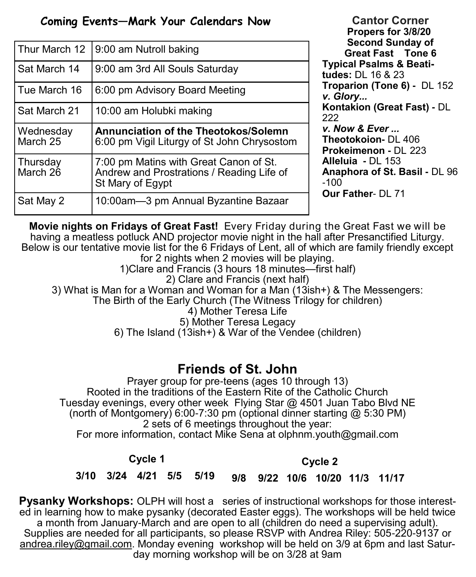## **Coming Events—Mark Your Calendars Now**

| Thur March 12         | 9:00 am Nutroll baking                                                                                  |
|-----------------------|---------------------------------------------------------------------------------------------------------|
| Sat March 14          | 9:00 am 3rd All Souls Saturday                                                                          |
| Tue March 16          | 6:00 pm Advisory Board Meeting                                                                          |
| Sat March 21          | 10:00 am Holubki making                                                                                 |
|                       |                                                                                                         |
| Wednesday<br>March 25 | <b>Annunciation of the Theotokos/Solemn</b><br>6:00 pm Vigil Liturgy of St John Chrysostom              |
| Thursday<br>March 26  | 7:00 pm Matins with Great Canon of St.<br>Andrew and Prostrations / Reading Life of<br>St Mary of Egypt |

**Cantor Corner Propers for 3/8/20 Second Sunday of Great Fast Tone 6 Typical Psalms & Beatitudes:** DL 16 & 23 **Troparion (Tone 6) -** DL 152 *v. Glory...*  **Kontakion (Great Fast) -** DL 222 *v. Now & Ever ...* **Theotokoion-** DL 406 **Prokeimenon -** DL 223 **Alleluia -** DL 153 **Anaphora of St. Basil -** DL 96 -100 **Our Father**- DL 71

**Movie nights on Fridays of Great Fast!** Every Friday during the Great Fast we will be having a meatless potluck AND projector movie night in the hall after Presanctified Liturgy. Below is our tentative movie list for the 6 Fridays of Lent, all of which are family friendly except for 2 nights when 2 movies will be playing.

1)Clare and Francis (3 hours 18 minutes—first half) 2) Clare and Francis (next half)

3) What is Man for a Woman and Woman for a Man (13ish+) & The Messengers:

The Birth of the Early Church (The Witness Trilogy for children)

4) Mother Teresa Life

5) Mother Teresa Legacy

6) The Island (13ish+) & War of the Vendee (children)

## **Friends of St. John**

Prayer group for pre-teens (ages 10 through 13) Rooted in the traditions of the Eastern Rite of the Catholic Church Tuesday evenings, every other week Flying Star @ 4501 Juan Tabo Blvd NE (north of Montgomery) 6:00-7:30 pm (optional dinner starting @ 5:30 PM) 2 sets of 6 meetings throughout the year: For more information, contact Mike Sena at olphnm.youth@gmail.com

### **Cycle 1**

**Cycle 2**

#### **3/10 3/24 4/21 5/5 5/19 9/8 9/22 10/6 10/20 11/3 11/17**

**Pysanky Workshops:** OLPH will host a series of instructional workshops for those interested in learning how to make pysanky (decorated Easter eggs). The workshops will be held twice a month from January-March and are open to all (children do need a supervising adult). Supplies are needed for all participants, so please RSVP with Andrea Riley: 505-220-9137 or [andrea.riley@gmail.com.](mailto:andrea.riley@gmail.com) Monday evening workshop will be held on 3/9 at 6pm and last Saturday morning workshop will be on 3/28 at 9am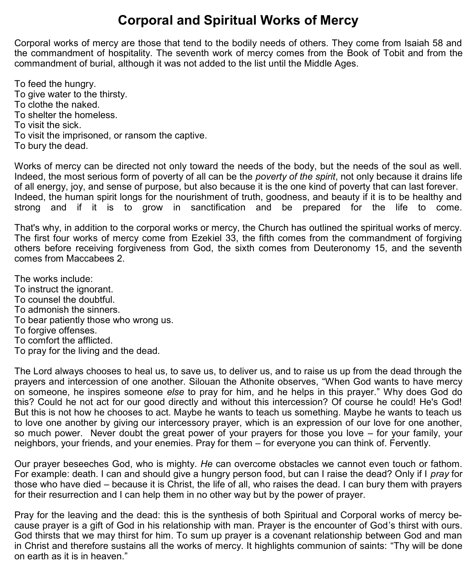# **Corporal and Spiritual Works of Mercy**

Corporal works of mercy are those that tend to the bodily needs of others. They come from Isaiah 58 and the commandment of hospitality. The seventh work of mercy comes from the [Book of Tobit](https://en.wikipedia.org/wiki/Book_of_Tobit) and from the commandment of burial, although it was not added to the list until the Middle Ages.

To feed the hungry. To give water to the thirsty. To clothe the naked. To shelter the homeless. To visit the sick. To visit the imprisoned, or ransom the captive. To bury the dead.

Works of mercy can be directed not only toward the needs of the body, but the needs of the soul as well. Indeed, the most serious form of poverty of all can be the *poverty of the spirit*, not only because it drains life of all energy, joy, and sense of purpose, but also because it is the one kind of poverty that can last forever. Indeed, the human spirit longs for the nourishment of truth, goodness, and beauty if it is to be healthy and strong and if it is to grow in sanctification and be prepared for the life to come.

That's why, in addition to the corporal works or mercy, the Church has outlined the spiritual works of mercy. The first four works of mercy come from Ezekiel 33, the fifth comes from the commandment of forgiving others before receiving forgiveness from God, the sixth comes from Deuteronomy 15, and the seventh comes from Maccabees 2.

The works include: To instruct the ignorant. To counsel the doubtful. To admonish the sinners. To bear patiently those who wrong us. To forgive offenses. To comfort the afflicted. To pray for the living and the dead.

The Lord always chooses to heal us, to save us, to deliver us, and to raise us up from the dead through the prayers and intercession of one another. Silouan the Athonite observes, "When God wants to have mercy on someone, he inspires someone *else* to pray for him, and he helps in this prayer." Why does God do this? Could he not act for our good directly and without this intercession? Of course he could! He's God! But this is not how he chooses to act. Maybe he wants to teach us something. Maybe he wants to teach us to love one another by giving our intercessory prayer, which is an expression of our love for one another, so much power. Never doubt the great power of your prayers for those you love – for your family, your neighbors, your friends, and your enemies. Pray for them – for everyone you can think of. Fervently.

Our prayer beseeches God, who is mighty. *He* can overcome obstacles we cannot even touch or fathom. For example: death. I can and should give a hungry person food, but can I raise the dead? Only if I *pray* for those who have died – because it is Christ, the life of all, who raises the dead. I can bury them with prayers for their resurrection and I can help them in no other way but by the power of prayer.

Pray for the leaving and the dead: this is the synthesis of both Spiritual and Corporal works of mercy because prayer is a gift of God in his relationship with man. Prayer is the encounter of God's thirst with ours. God thirsts that we may thirst for him. To sum up prayer is a covenant relationship between God and man in Christ and therefore sustains all the works of mercy. It highlights communion of saints: "Thy will be done on earth as it is in heaven."